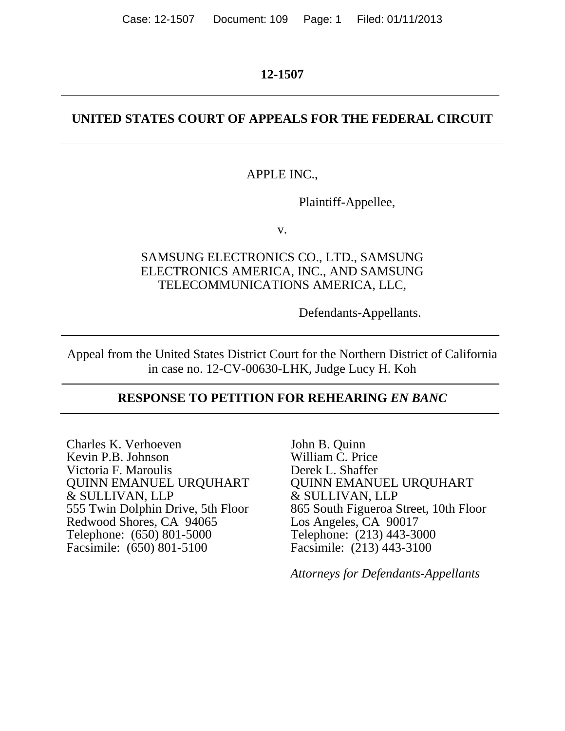### **12-1507**

# **UNITED STATES COURT OF APPEALS FOR THE FEDERAL CIRCUIT**

## APPLE INC.,

Plaintiff-Appellee,

v.

# SAMSUNG ELECTRONICS CO., LTD., SAMSUNG ELECTRONICS AMERICA, INC., AND SAMSUNG TELECOMMUNICATIONS AMERICA, LLC,

Defendants-Appellants.

Appeal from the United States District Court for the Northern District of California in case no. 12-CV-00630-LHK, Judge Lucy H. Koh

# **RESPONSE TO PETITION FOR REHEARING** *EN BANC*

Charles K. Verhoeven Kevin P.B. Johnson Victoria F. Maroulis QUINN EMANUEL URQUHART & SULLIVAN, LLP 555 Twin Dolphin Drive, 5th Floor Redwood Shores, CA 94065 Telephone: (650) 801-5000 Facsimile: (650) 801-5100

John B. Quinn William C. Price Derek L. Shaffer QUINN EMANUEL URQUHART & SULLIVAN, LLP 865 South Figueroa Street, 10th Floor Los Angeles, CA 90017 Telephone: (213) 443-3000 Facsimile: (213) 443-3100

*Attorneys for Defendants-Appellants*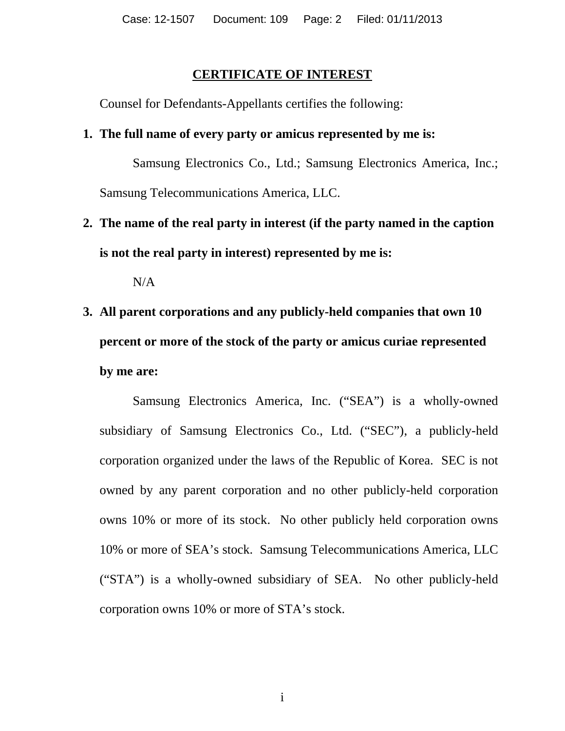## **CERTIFICATE OF INTEREST**

Counsel for Defendants-Appellants certifies the following:

# **1. The full name of every party or amicus represented by me is:**

 Samsung Electronics Co., Ltd.; Samsung Electronics America, Inc.; Samsung Telecommunications America, LLC.

# **2. The name of the real party in interest (if the party named in the caption is not the real party in interest) represented by me is:**

 $N/A$ 

# **3. All parent corporations and any publicly-held companies that own 10 percent or more of the stock of the party or amicus curiae represented by me are:**

 Samsung Electronics America, Inc. ("SEA") is a wholly-owned subsidiary of Samsung Electronics Co., Ltd. ("SEC"), a publicly-held corporation organized under the laws of the Republic of Korea. SEC is not owned by any parent corporation and no other publicly-held corporation owns 10% or more of its stock. No other publicly held corporation owns 10% or more of SEA's stock. Samsung Telecommunications America, LLC ("STA") is a wholly-owned subsidiary of SEA. No other publicly-held corporation owns 10% or more of STA's stock.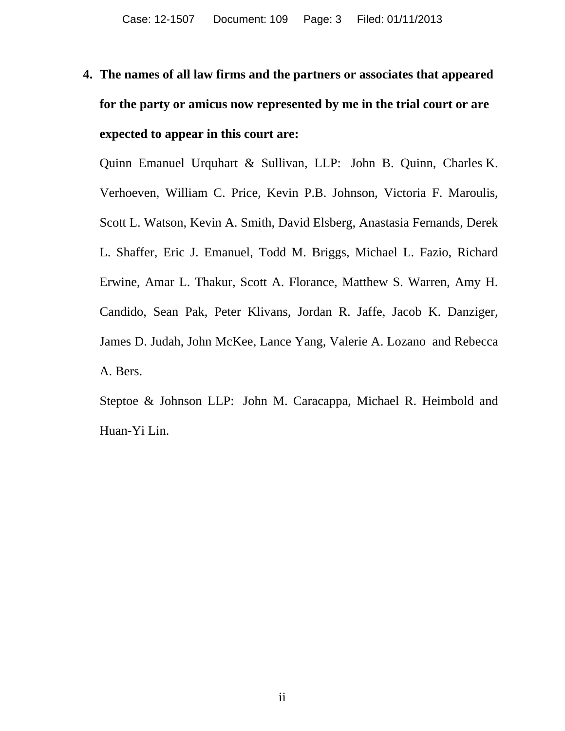# **4. The names of all law firms and the partners or associates that appeared for the party or amicus now represented by me in the trial court or are expected to appear in this court are:**

Quinn Emanuel Urquhart & Sullivan, LLP: John B. Quinn, Charles K. Verhoeven, William C. Price, Kevin P.B. Johnson, Victoria F. Maroulis, Scott L. Watson, Kevin A. Smith, David Elsberg, Anastasia Fernands, Derek L. Shaffer, Eric J. Emanuel, Todd M. Briggs, Michael L. Fazio, Richard Erwine, Amar L. Thakur, Scott A. Florance, Matthew S. Warren, Amy H. Candido, Sean Pak, Peter Klivans, Jordan R. Jaffe, Jacob K. Danziger, James D. Judah, John McKee, Lance Yang, Valerie A. Lozano and Rebecca A. Bers.

Steptoe & Johnson LLP: John M. Caracappa, Michael R. Heimbold and Huan-Yi Lin.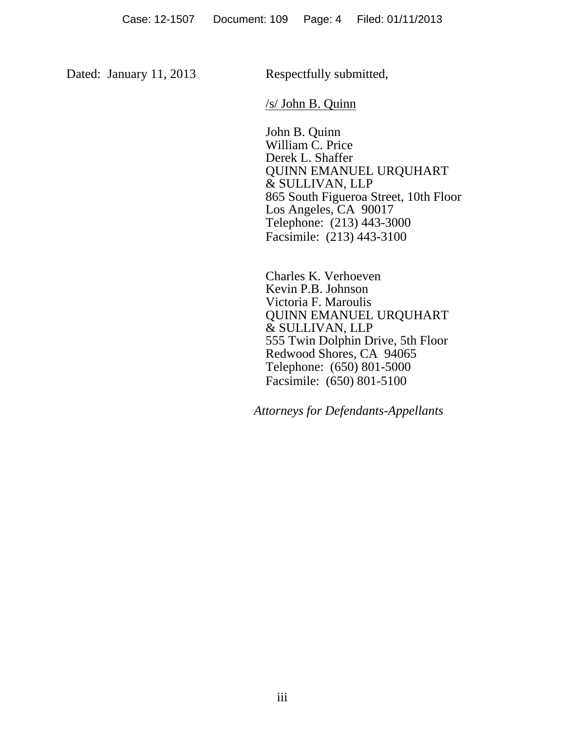Dated: January 11, 2013 Respectfully submitted,

/s/ John B. Quinn

 John B. Quinn William C. Price Derek L. Shaffer QUINN EMANUEL URQUHART & SULLIVAN, LLP 865 South Figueroa Street, 10th Floor Los Angeles, CA 90017 Telephone: (213) 443-3000 Facsimile: (213) 443-3100

Charles K. Verhoeven Kevin P.B. Johnson Victoria F. Maroulis QUINN EMANUEL URQUHART & SULLIVAN, LLP 555 Twin Dolphin Drive, 5th Floor Redwood Shores, CA 94065 Telephone: (650) 801-5000 Facsimile: (650) 801-5100

 *Attorneys for Defendants-Appellants*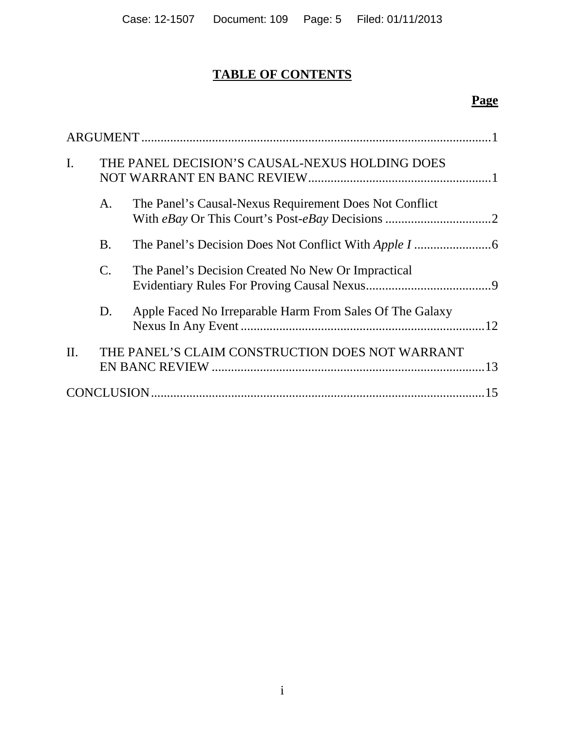# **TABLE OF CONTENTS**

# **Page**

| $\mathbf{I}$ . |                | THE PANEL DECISION'S CAUSAL-NEXUS HOLDING DOES           |     |  |  |
|----------------|----------------|----------------------------------------------------------|-----|--|--|
|                | A.             | The Panel's Causal-Nexus Requirement Does Not Conflict   |     |  |  |
|                | <b>B.</b>      |                                                          |     |  |  |
|                | $\mathbf{C}$ . | The Panel's Decision Created No New Or Impractical       |     |  |  |
|                | D.             | Apple Faced No Irreparable Harm From Sales Of The Galaxy |     |  |  |
| $\Pi$ .        |                | THE PANEL'S CLAIM CONSTRUCTION DOES NOT WARRANT          | .13 |  |  |
| 15             |                |                                                          |     |  |  |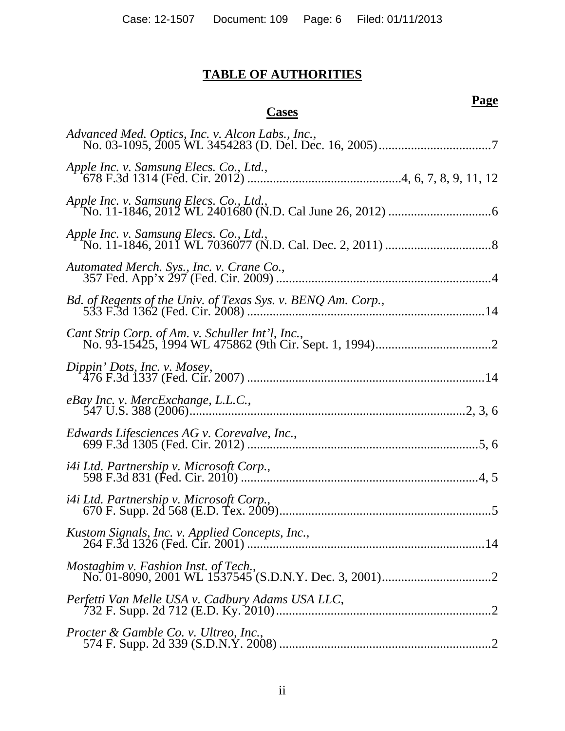# **TABLE OF AUTHORITIES**

# **Cases**

# **Page**

| Advanced Med. Optics, Inc. v. Alcon Labs., Inc.,             |
|--------------------------------------------------------------|
| Apple Inc. v. Samsung Elecs. Co., Ltd.,                      |
|                                                              |
|                                                              |
| Automated Merch. Sys., Inc. v. Crane Co.,                    |
| Bd. of Regents of the Univ. of Texas Sys. v. BENQ Am. Corp., |
| Cant Strip Corp. of Am. v. Schuller Int'l, Inc.,             |
| Dippin' Dots, Inc. v. Mosey,                                 |
| eBay Inc. v. MercExchange, L.L.C.,                           |
| Edwards Lifesciences AG v. Corevalve, Inc.,                  |
| <i>i4i Ltd. Partnership v. Microsoft Corp.,</i>              |
| i4i Ltd. Partnership v. Microsoft Corp.,                     |
|                                                              |
|                                                              |
| Perfetti Van Melle USA v. Cadbury Adams USA LLC,             |
| Procter & Gamble Co. v. Ultreo, Inc.,                        |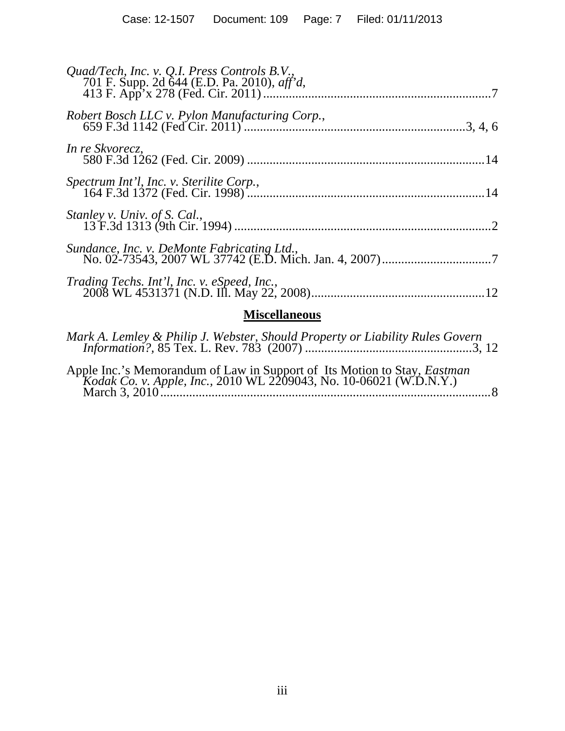| Quad/Tech, Inc. v. Q.I. Press Controls B.V.,                                                                                                                                                                                                                                                                                                                                                                                        |  |  |  |  |
|-------------------------------------------------------------------------------------------------------------------------------------------------------------------------------------------------------------------------------------------------------------------------------------------------------------------------------------------------------------------------------------------------------------------------------------|--|--|--|--|
| Robert Bosch LLC v. Pylon Manufacturing Corp.,                                                                                                                                                                                                                                                                                                                                                                                      |  |  |  |  |
| In re Skvorecz,                                                                                                                                                                                                                                                                                                                                                                                                                     |  |  |  |  |
| Spectrum Int'l, Inc. v. Sterilite Corp.,                                                                                                                                                                                                                                                                                                                                                                                            |  |  |  |  |
| Stanley v. Univ. of S. Cal.,                                                                                                                                                                                                                                                                                                                                                                                                        |  |  |  |  |
| Sundance, Inc. v. DeMonte Fabricating Ltd.,                                                                                                                                                                                                                                                                                                                                                                                         |  |  |  |  |
|                                                                                                                                                                                                                                                                                                                                                                                                                                     |  |  |  |  |
| <b>Miscellaneous</b>                                                                                                                                                                                                                                                                                                                                                                                                                |  |  |  |  |
| $M=I$ $\rightarrow$ $I$ $\rightarrow$ $I$ , $\rightarrow$ $I$ $\rightarrow$ $I$ $I$ $I$ $I$ $I$ $\rightarrow$ $I$ $\rightarrow$ $I$ $\rightarrow$ $I$ $\rightarrow$ $I$ $\rightarrow$ $I$ $\rightarrow$ $I$ $\rightarrow$ $I$ $\rightarrow$ $I$ $\rightarrow$ $I$ $\rightarrow$ $I$ $\rightarrow$ $I$ $\rightarrow$ $I$ $\rightarrow$ $I$ $\rightarrow$ $I$ $\rightarrow$ $I$ $\rightarrow$ $I$ $\rightarrow$ $I$ $\rightarrow$ $I$ |  |  |  |  |

| Apple Inc.'s Memorandum of Law in Support of Its Motion to Stay, <i>Eastman Kodak Co. v. Apple, Inc.</i> , 2010 WL 2209043, No. 10-06021 (W.D.N.Y.)<br>$\ldots 8$ |  |
|-------------------------------------------------------------------------------------------------------------------------------------------------------------------|--|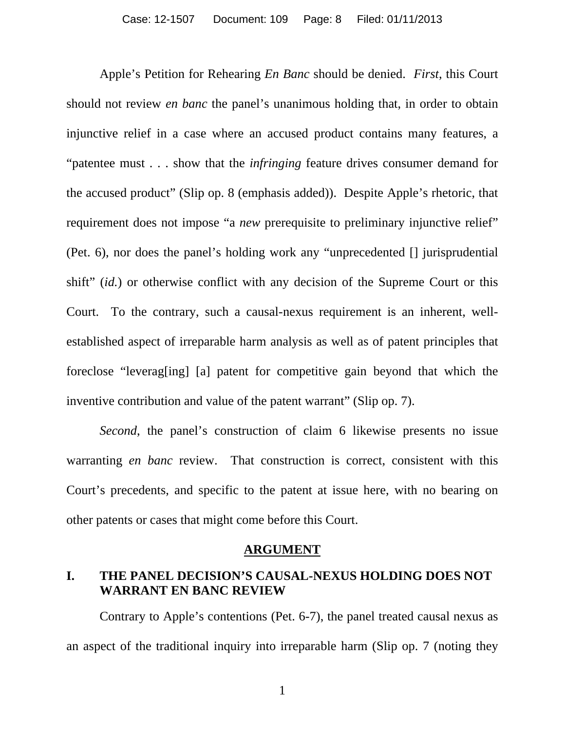Apple's Petition for Rehearing *En Banc* should be denied. *First*, this Court should not review *en banc* the panel's unanimous holding that, in order to obtain injunctive relief in a case where an accused product contains many features, a "patentee must . . . show that the *infringing* feature drives consumer demand for the accused product" (Slip op. 8 (emphasis added)). Despite Apple's rhetoric, that requirement does not impose "a *new* prerequisite to preliminary injunctive relief" (Pet. 6), nor does the panel's holding work any "unprecedented [] jurisprudential shift" (*id.*) or otherwise conflict with any decision of the Supreme Court or this Court. To the contrary, such a causal-nexus requirement is an inherent, wellestablished aspect of irreparable harm analysis as well as of patent principles that foreclose "leverag[ing] [a] patent for competitive gain beyond that which the inventive contribution and value of the patent warrant" (Slip op. 7).

*Second*, the panel's construction of claim 6 likewise presents no issue warranting *en banc* review. That construction is correct, consistent with this Court's precedents, and specific to the patent at issue here, with no bearing on other patents or cases that might come before this Court.

#### **ARGUMENT**

# **I. THE PANEL DECISION'S CAUSAL-NEXUS HOLDING DOES NOT WARRANT EN BANC REVIEW**

Contrary to Apple's contentions (Pet. 6-7), the panel treated causal nexus as an aspect of the traditional inquiry into irreparable harm (Slip op. 7 (noting they

1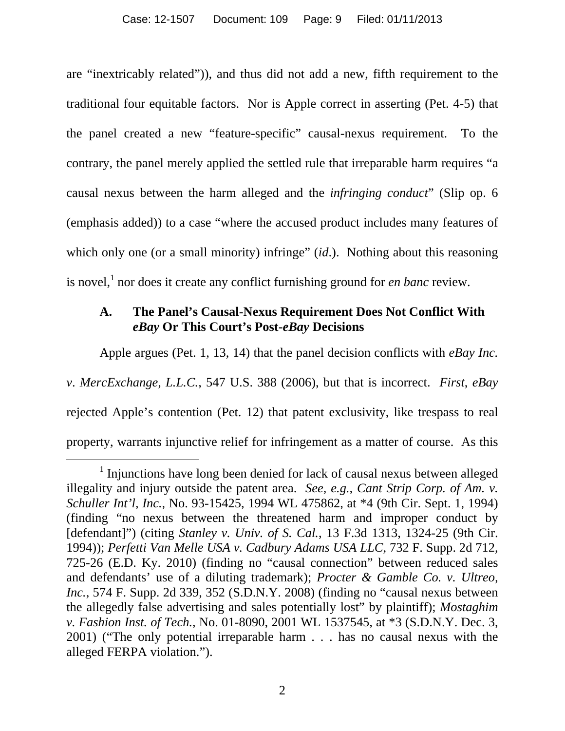are "inextricably related")), and thus did not add a new, fifth requirement to the traditional four equitable factors. Nor is Apple correct in asserting (Pet. 4-5) that the panel created a new "feature-specific" causal-nexus requirement. To the contrary, the panel merely applied the settled rule that irreparable harm requires "a causal nexus between the harm alleged and the *infringing conduct*" (Slip op. 6 (emphasis added)) to a case "where the accused product includes many features of which only one (or a small minority) infringe" *(id.)*. Nothing about this reasoning is novel,<sup>1</sup> nor does it create any conflict furnishing ground for *en banc* review.

# **A. The Panel's Causal-Nexus Requirement Does Not Conflict With**  *eBay* **Or This Court's Post-***eBay* **Decisions**

Apple argues (Pet. 1, 13, 14) that the panel decision conflicts with *eBay Inc. v*. *MercExchange, L.L.C.*, 547 U.S. 388 (2006), but that is incorrect. *First*, *eBay* rejected Apple's contention (Pet. 12) that patent exclusivity, like trespass to real property, warrants injunctive relief for infringement as a matter of course. As this

 $\overline{\phantom{a}}$  $\frac{1}{1}$  Injunctions have long been denied for lack of causal nexus between alleged illegality and injury outside the patent area. *See, e.g., Cant Strip Corp. of Am. v. Schuller Int'l, Inc.*, No. 93-15425, 1994 WL 475862, at \*4 (9th Cir. Sept. 1, 1994) (finding "no nexus between the threatened harm and improper conduct by [defendant]") (citing *Stanley v. Univ. of S. Cal.*, 13 F.3d 1313, 1324-25 (9th Cir. 1994)); *Perfetti Van Melle USA v. Cadbury Adams USA LLC*, 732 F. Supp. 2d 712, 725-26 (E.D. Ky. 2010) (finding no "causal connection" between reduced sales and defendants' use of a diluting trademark); *Procter & Gamble Co. v. Ultreo, Inc.*, 574 F. Supp. 2d 339, 352 (S.D.N.Y. 2008) (finding no "causal nexus between the allegedly false advertising and sales potentially lost" by plaintiff); *Mostaghim v. Fashion Inst. of Tech.*, No. 01-8090, 2001 WL 1537545, at \*3 (S.D.N.Y. Dec. 3, 2001) ("The only potential irreparable harm . . . has no causal nexus with the alleged FERPA violation.").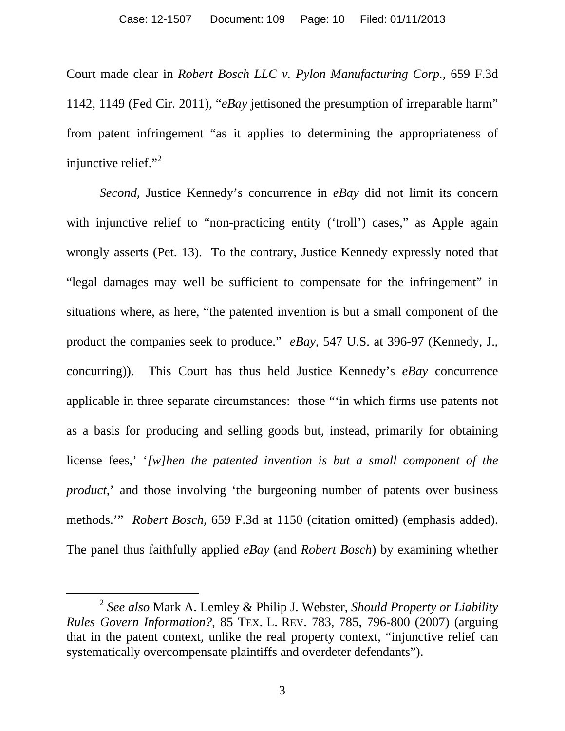Court made clear in *Robert Bosch LLC v. Pylon Manufacturing Corp.*, 659 F.3d 1142, 1149 (Fed Cir. 2011), "*eBay* jettisoned the presumption of irreparable harm" from patent infringement "as it applies to determining the appropriateness of injunctive relief."<sup>2</sup>

*Second*, Justice Kennedy's concurrence in *eBay* did not limit its concern with injunctive relief to "non-practicing entity ('troll') cases," as Apple again wrongly asserts (Pet. 13). To the contrary, Justice Kennedy expressly noted that "legal damages may well be sufficient to compensate for the infringement" in situations where, as here, "the patented invention is but a small component of the product the companies seek to produce." *eBay*, 547 U.S. at 396-97 (Kennedy, J., concurring)). This Court has thus held Justice Kennedy's *eBay* concurrence applicable in three separate circumstances: those "'in which firms use patents not as a basis for producing and selling goods but, instead, primarily for obtaining license fees,' '*[w]hen the patented invention is but a small component of the product*,' and those involving 'the burgeoning number of patents over business methods.'" *Robert Bosch*, 659 F.3d at 1150 (citation omitted) (emphasis added). The panel thus faithfully applied *eBay* (and *Robert Bosch*) by examining whether

 <sup>2</sup> *See also* Mark A. Lemley & Philip J. Webster, *Should Property or Liability Rules Govern Information?*, 85 TEX. L. REV. 783, 785, 796-800 (2007) (arguing that in the patent context, unlike the real property context, "injunctive relief can systematically overcompensate plaintiffs and overdeter defendants").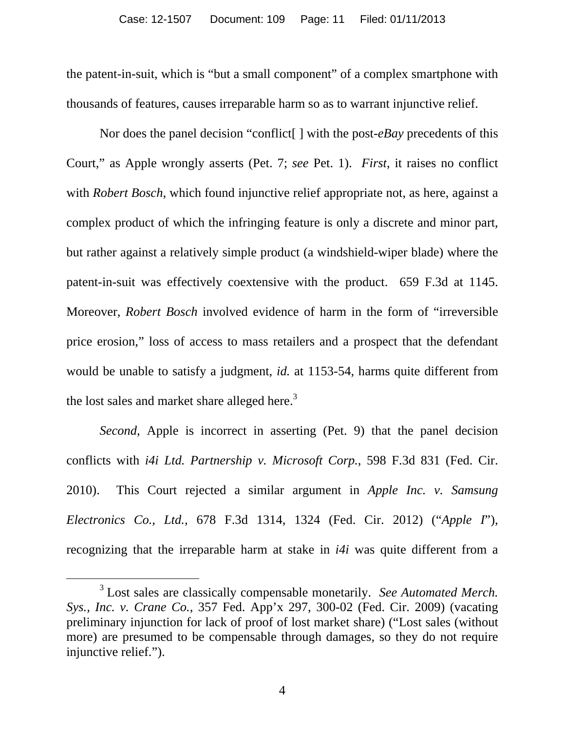the patent-in-suit, which is "but a small component" of a complex smartphone with thousands of features, causes irreparable harm so as to warrant injunctive relief.

Nor does the panel decision "conflict[ ] with the post-*eBay* precedents of this Court," as Apple wrongly asserts (Pet. 7; *see* Pet. 1). *First*, it raises no conflict with *Robert Bosch*, which found injunctive relief appropriate not, as here, against a complex product of which the infringing feature is only a discrete and minor part, but rather against a relatively simple product (a windshield-wiper blade) where the patent-in-suit was effectively coextensive with the product. 659 F.3d at 1145. Moreover, *Robert Bosch* involved evidence of harm in the form of "irreversible price erosion," loss of access to mass retailers and a prospect that the defendant would be unable to satisfy a judgment, *id.* at 1153-54, harms quite different from the lost sales and market share alleged here. $3$ 

*Second*, Apple is incorrect in asserting (Pet. 9) that the panel decision conflicts with *i4i Ltd. Partnership v. Microsoft Corp.*, 598 F.3d 831 (Fed. Cir. 2010). This Court rejected a similar argument in *Apple Inc. v. Samsung Electronics Co., Ltd.,* 678 F.3d 1314, 1324 (Fed. Cir. 2012) ("*Apple I*"), recognizing that the irreparable harm at stake in *i4i* was quite different from a

4

 $\frac{1}{3}$  Lost sales are classically compensable monetarily. *See Automated Merch. Sys., Inc. v. Crane Co.*, 357 Fed. App'x 297, 300-02 (Fed. Cir. 2009) (vacating preliminary injunction for lack of proof of lost market share) ("Lost sales (without more) are presumed to be compensable through damages, so they do not require injunctive relief.").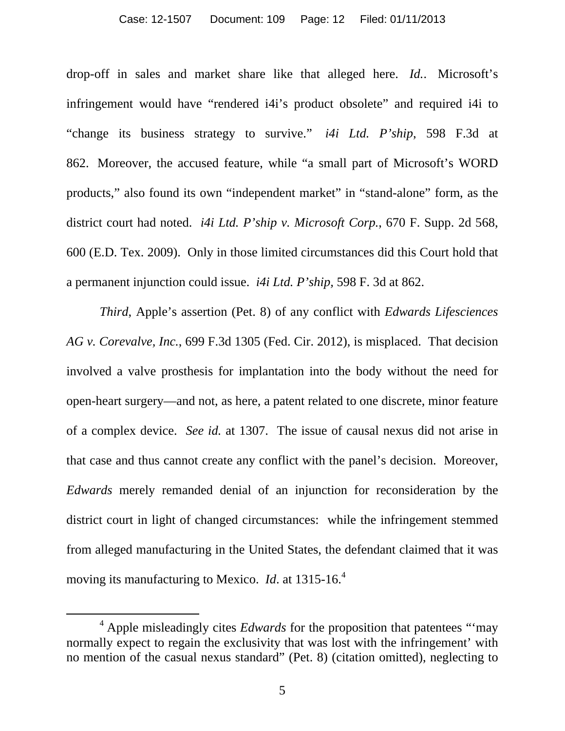#### Case: 12-1507 Document: 109 Page: 12 Filed: 01/11/2013

drop-off in sales and market share like that alleged here. *Id.*. Microsoft's infringement would have "rendered i4i's product obsolete" and required i4i to "change its business strategy to survive." *i4i Ltd. P'ship*, 598 F.3d at 862. Moreover, the accused feature, while "a small part of Microsoft's WORD products," also found its own "independent market" in "stand-alone" form, as the district court had noted. *i4i Ltd. P'ship v. Microsoft Corp.*, 670 F. Supp. 2d 568, 600 (E.D. Tex. 2009). Only in those limited circumstances did this Court hold that a permanent injunction could issue. *i4i Ltd. P'ship,* 598 F. 3d at 862.

*Third*, Apple's assertion (Pet. 8) of any conflict with *Edwards Lifesciences AG v. Corevalve, Inc.*, 699 F.3d 1305 (Fed. Cir. 2012), is misplaced. That decision involved a valve prosthesis for implantation into the body without the need for open-heart surgery—and not, as here, a patent related to one discrete, minor feature of a complex device. *See id.* at 1307. The issue of causal nexus did not arise in that case and thus cannot create any conflict with the panel's decision. Moreover, *Edwards* merely remanded denial of an injunction for reconsideration by the district court in light of changed circumstances: while the infringement stemmed from alleged manufacturing in the United States, the defendant claimed that it was moving its manufacturing to Mexico. *Id*. at 1315-16.<sup>4</sup>

 $\frac{1}{4}$ <sup>4</sup> Apple misleadingly cites *Edwards* for the proposition that patentees "'may normally expect to regain the exclusivity that was lost with the infringement' with no mention of the casual nexus standard" (Pet. 8) (citation omitted), neglecting to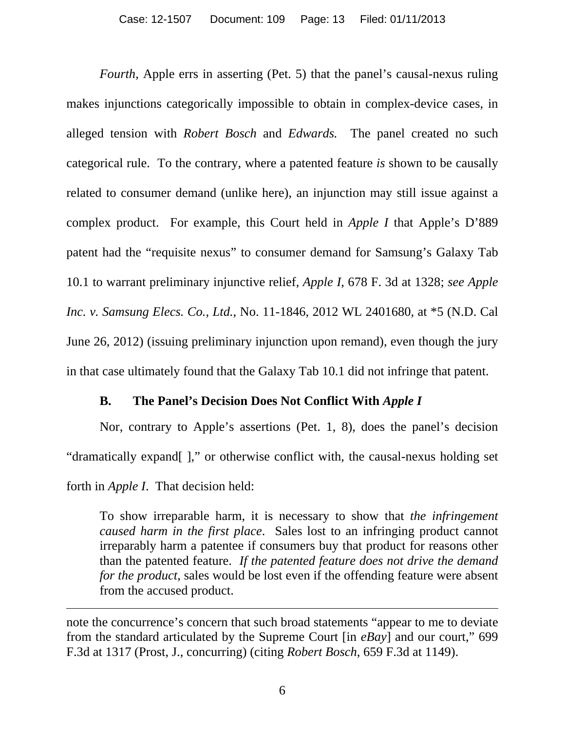*Fourth*, Apple errs in asserting (Pet. 5) that the panel's causal-nexus ruling makes injunctions categorically impossible to obtain in complex-device cases, in alleged tension with *Robert Bosch* and *Edwards.* The panel created no such categorical rule. To the contrary, where a patented feature *is* shown to be causally related to consumer demand (unlike here), an injunction may still issue against a complex product. For example, this Court held in *Apple I* that Apple's D'889 patent had the "requisite nexus" to consumer demand for Samsung's Galaxy Tab 10.1 to warrant preliminary injunctive relief, *Apple I*, 678 F. 3d at 1328; *see Apple Inc. v. Samsung Elecs. Co., Ltd.*, No. 11-1846, 2012 WL 2401680, at \*5 (N.D. Cal June 26, 2012) (issuing preliminary injunction upon remand), even though the jury in that case ultimately found that the Galaxy Tab 10.1 did not infringe that patent.

### **B. The Panel's Decision Does Not Conflict With** *Apple I*

Nor, contrary to Apple's assertions (Pet. 1, 8), does the panel's decision "dramatically expand[ ]," or otherwise conflict with, the causal-nexus holding set forth in *Apple I*. That decision held:

To show irreparable harm, it is necessary to show that *the infringement caused harm in the first place*. Sales lost to an infringing product cannot irreparably harm a patentee if consumers buy that product for reasons other than the patented feature. *If the patented feature does not drive the demand for the product*, sales would be lost even if the offending feature were absent from the accused product.

 $\overline{a}$ 

note the concurrence's concern that such broad statements "appear to me to deviate from the standard articulated by the Supreme Court [in *eBay*] and our court," 699 F.3d at 1317 (Prost, J., concurring) (citing *Robert Bosch*, 659 F.3d at 1149).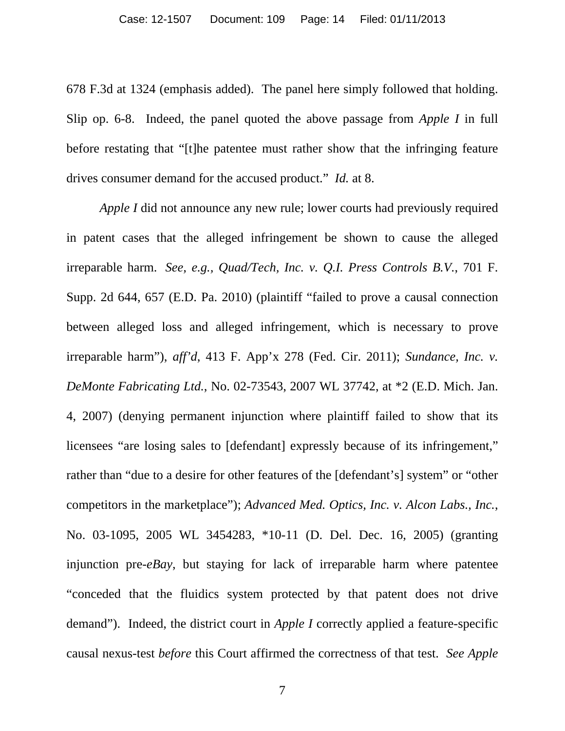678 F.3d at 1324 (emphasis added). The panel here simply followed that holding. Slip op. 6-8. Indeed, the panel quoted the above passage from *Apple I* in full before restating that "[t]he patentee must rather show that the infringing feature drives consumer demand for the accused product." *Id.* at 8.

*Apple I* did not announce any new rule; lower courts had previously required in patent cases that the alleged infringement be shown to cause the alleged irreparable harm. *See, e.g., Quad/Tech, Inc. v. Q.I. Press Controls B.V.*, 701 F. Supp. 2d 644, 657 (E.D. Pa. 2010) (plaintiff "failed to prove a causal connection between alleged loss and alleged infringement, which is necessary to prove irreparable harm"), *aff'd*, 413 F. App'x 278 (Fed. Cir. 2011); *Sundance, Inc. v. DeMonte Fabricating Ltd.*, No. 02-73543, 2007 WL 37742, at \*2 (E.D. Mich. Jan. 4, 2007) (denying permanent injunction where plaintiff failed to show that its licensees "are losing sales to [defendant] expressly because of its infringement," rather than "due to a desire for other features of the [defendant's] system" or "other competitors in the marketplace"); *Advanced Med. Optics, Inc. v. Alcon Labs., Inc.*, No. 03-1095, 2005 WL 3454283, \*10-11 (D. Del. Dec. 16, 2005) (granting injunction pre-*eBay*, but staying for lack of irreparable harm where patentee "conceded that the fluidics system protected by that patent does not drive demand"). Indeed, the district court in *Apple I* correctly applied a feature-specific causal nexus-test *before* this Court affirmed the correctness of that test. *See Apple*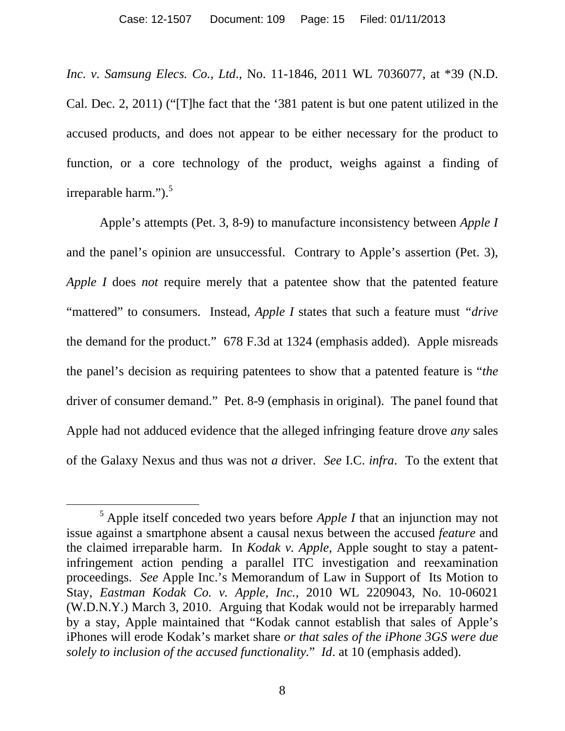*Inc. v. Samsung Elecs. Co., Ltd*., No. 11-1846, 2011 WL 7036077, at \*39 (N.D. Cal. Dec. 2, 2011) ("[T]he fact that the '381 patent is but one patent utilized in the accused products, and does not appear to be either necessary for the product to function, or a core technology of the product, weighs against a finding of irreparable harm." $)$ .<sup>5</sup>

Apple's attempts (Pet. 3, 8-9) to manufacture inconsistency between *Apple I* and the panel's opinion are unsuccessful. Contrary to Apple's assertion (Pet. 3), *Apple I* does *not* require merely that a patentee show that the patented feature "mattered" to consumers. Instead, *Apple I* states that such a feature must *"drive* the demand for the product." 678 F.3d at 1324 (emphasis added). Apple misreads the panel's decision as requiring patentees to show that a patented feature is "*the* driver of consumer demand." Pet. 8-9 (emphasis in original). The panel found that Apple had not adduced evidence that the alleged infringing feature drove *any* sales of the Galaxy Nexus and thus was not *a* driver. *See* I.C. *infra*. To the extent that

 $\frac{1}{5}$  Apple itself conceded two years before *Apple I* that an injunction may not issue against a smartphone absent a causal nexus between the accused *feature* and the claimed irreparable harm. In *Kodak v. Apple,* Apple sought to stay a patentinfringement action pending a parallel ITC investigation and reexamination proceedings. *See* Apple Inc.'s Memorandum of Law in Support of Its Motion to Stay, *Eastman Kodak Co. v. Apple, Inc.,* 2010 WL 2209043, No. 10-06021 (W.D.N.Y.) March 3, 2010. Arguing that Kodak would not be irreparably harmed by a stay, Apple maintained that "Kodak cannot establish that sales of Apple's iPhones will erode Kodak's market share *or that sales of the iPhone 3GS were due solely to inclusion of the accused functionality.*" *Id*. at 10 (emphasis added).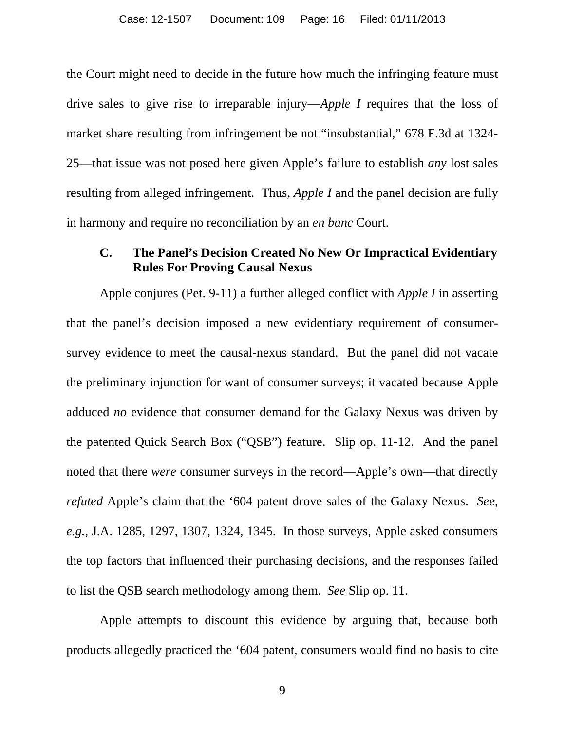the Court might need to decide in the future how much the infringing feature must drive sales to give rise to irreparable injury—*Apple I* requires that the loss of market share resulting from infringement be not "insubstantial," 678 F.3d at 1324- 25—that issue was not posed here given Apple's failure to establish *any* lost sales resulting from alleged infringement. Thus, *Apple I* and the panel decision are fully in harmony and require no reconciliation by an *en banc* Court.

# **C. The Panel's Decision Created No New Or Impractical Evidentiary Rules For Proving Causal Nexus**

Apple conjures (Pet. 9-11) a further alleged conflict with *Apple I* in asserting that the panel's decision imposed a new evidentiary requirement of consumersurvey evidence to meet the causal-nexus standard. But the panel did not vacate the preliminary injunction for want of consumer surveys; it vacated because Apple adduced *no* evidence that consumer demand for the Galaxy Nexus was driven by the patented Quick Search Box ("QSB") feature. Slip op. 11-12. And the panel noted that there *were* consumer surveys in the record—Apple's own—that directly *refuted* Apple's claim that the '604 patent drove sales of the Galaxy Nexus. *See, e.g.,* J.A. 1285, 1297, 1307, 1324, 1345. In those surveys, Apple asked consumers the top factors that influenced their purchasing decisions, and the responses failed to list the QSB search methodology among them. *See* Slip op. 11.

Apple attempts to discount this evidence by arguing that, because both products allegedly practiced the '604 patent, consumers would find no basis to cite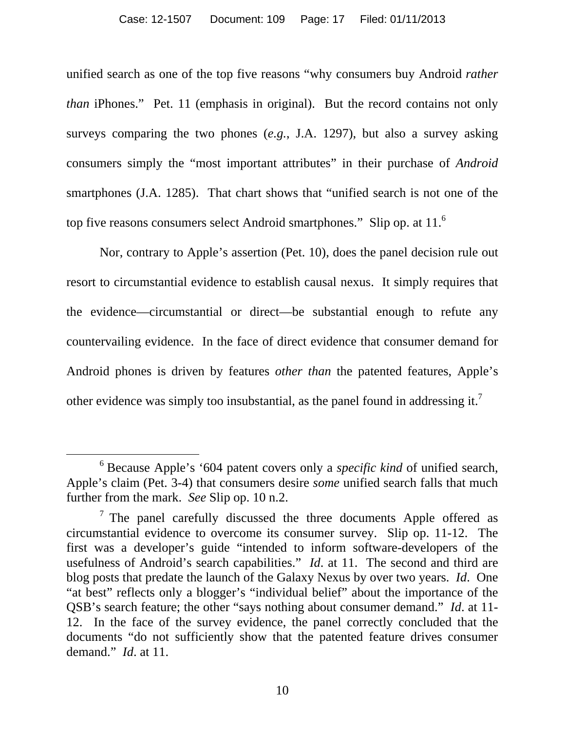#### Case: 12-1507 Document: 109 Page: 17 Filed: 01/11/2013

unified search as one of the top five reasons "why consumers buy Android *rather than* iPhones." Pet. 11 (emphasis in original). But the record contains not only surveys comparing the two phones (*e.g.*, J.A. 1297), but also a survey asking consumers simply the "most important attributes" in their purchase of *Android* smartphones (J.A. 1285). That chart shows that "unified search is not one of the top five reasons consumers select Android smartphones." Slip op. at 11.<sup>6</sup>

Nor, contrary to Apple's assertion (Pet. 10), does the panel decision rule out resort to circumstantial evidence to establish causal nexus. It simply requires that the evidence—circumstantial or direct—be substantial enough to refute any countervailing evidence. In the face of direct evidence that consumer demand for Android phones is driven by features *other than* the patented features, Apple's other evidence was simply too insubstantial, as the panel found in addressing it.<sup>7</sup>

 <sup>6</sup> Because Apple's '604 patent covers only a *specific kind* of unified search, Apple's claim (Pet. 3-4) that consumers desire *some* unified search falls that much further from the mark. *See* Slip op. 10 n.2.

 $7$  The panel carefully discussed the three documents Apple offered as circumstantial evidence to overcome its consumer survey. Slip op. 11-12. The first was a developer's guide "intended to inform software-developers of the usefulness of Android's search capabilities." *Id*. at 11. The second and third are blog posts that predate the launch of the Galaxy Nexus by over two years. *Id*. One "at best" reflects only a blogger's "individual belief" about the importance of the QSB's search feature; the other "says nothing about consumer demand." *Id*. at 11- 12. In the face of the survey evidence, the panel correctly concluded that the documents "do not sufficiently show that the patented feature drives consumer demand." *Id*. at 11.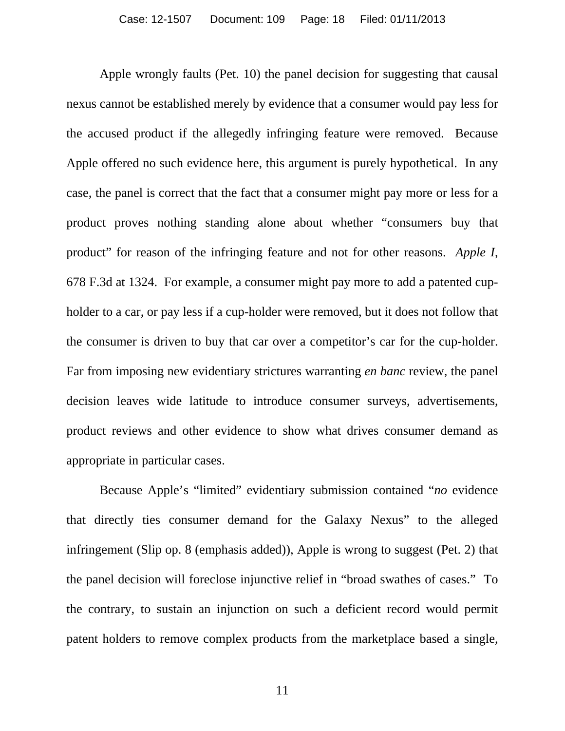Apple wrongly faults (Pet. 10) the panel decision for suggesting that causal nexus cannot be established merely by evidence that a consumer would pay less for the accused product if the allegedly infringing feature were removed. Because Apple offered no such evidence here, this argument is purely hypothetical. In any case, the panel is correct that the fact that a consumer might pay more or less for a product proves nothing standing alone about whether "consumers buy that product" for reason of the infringing feature and not for other reasons. *Apple I*, 678 F.3d at 1324. For example, a consumer might pay more to add a patented cupholder to a car, or pay less if a cup-holder were removed, but it does not follow that the consumer is driven to buy that car over a competitor's car for the cup-holder. Far from imposing new evidentiary strictures warranting *en banc* review, the panel decision leaves wide latitude to introduce consumer surveys, advertisements, product reviews and other evidence to show what drives consumer demand as appropriate in particular cases.

Because Apple's "limited" evidentiary submission contained "*no* evidence that directly ties consumer demand for the Galaxy Nexus" to the alleged infringement (Slip op. 8 (emphasis added)), Apple is wrong to suggest (Pet. 2) that the panel decision will foreclose injunctive relief in "broad swathes of cases." To the contrary, to sustain an injunction on such a deficient record would permit patent holders to remove complex products from the marketplace based a single,

11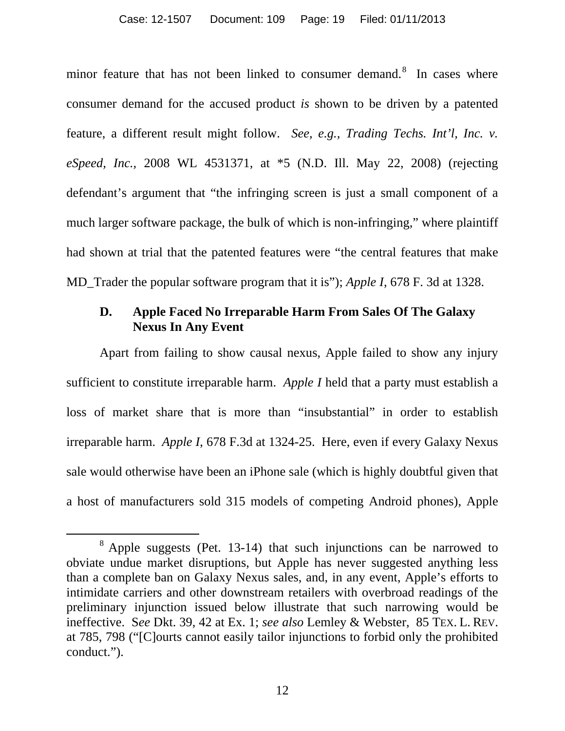#### Case: 12-1507 Document: 109 Page: 19 Filed: 01/11/2013

minor feature that has not been linked to consumer demand.<sup>8</sup> In cases where consumer demand for the accused product *is* shown to be driven by a patented feature, a different result might follow. *See, e.g., Trading Techs. Int'l, Inc. v. eSpeed, Inc.,* 2008 WL 4531371, at \*5 (N.D. Ill. May 22, 2008) (rejecting defendant's argument that "the infringing screen is just a small component of a much larger software package, the bulk of which is non-infringing," where plaintiff had shown at trial that the patented features were "the central features that make MD\_Trader the popular software program that it is"); *Apple I*, 678 F. 3d at 1328.

## **D. Apple Faced No Irreparable Harm From Sales Of The Galaxy Nexus In Any Event**

Apart from failing to show causal nexus, Apple failed to show any injury sufficient to constitute irreparable harm. *Apple I* held that a party must establish a loss of market share that is more than "insubstantial" in order to establish irreparable harm. *Apple I*, 678 F.3d at 1324-25. Here, even if every Galaxy Nexus sale would otherwise have been an iPhone sale (which is highly doubtful given that a host of manufacturers sold 315 models of competing Android phones), Apple

 <sup>8</sup>  $8$  Apple suggests (Pet. 13-14) that such injunctions can be narrowed to obviate undue market disruptions, but Apple has never suggested anything less than a complete ban on Galaxy Nexus sales, and, in any event, Apple's efforts to intimidate carriers and other downstream retailers with overbroad readings of the preliminary injunction issued below illustrate that such narrowing would be ineffective. S*ee* Dkt. 39, 42 at Ex. 1; *see also* Lemley & Webster, 85 TEX. L. REV. at 785, 798 ("[C]ourts cannot easily tailor injunctions to forbid only the prohibited conduct.").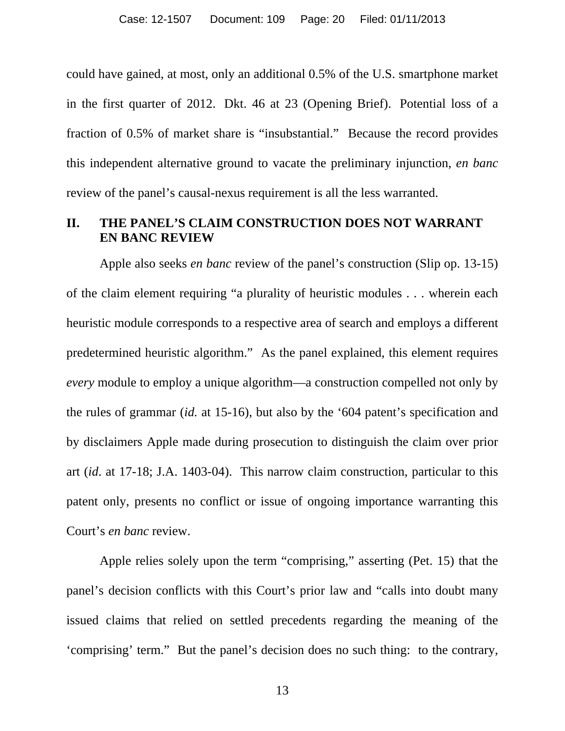could have gained, at most, only an additional 0.5% of the U.S. smartphone market in the first quarter of 2012. Dkt. 46 at 23 (Opening Brief). Potential loss of a fraction of 0.5% of market share is "insubstantial." Because the record provides this independent alternative ground to vacate the preliminary injunction, *en banc* review of the panel's causal-nexus requirement is all the less warranted.

# **II. THE PANEL'S CLAIM CONSTRUCTION DOES NOT WARRANT EN BANC REVIEW**

Apple also seeks *en banc* review of the panel's construction (Slip op. 13-15) of the claim element requiring "a plurality of heuristic modules . . . wherein each heuristic module corresponds to a respective area of search and employs a different predetermined heuristic algorithm." As the panel explained, this element requires *every* module to employ a unique algorithm—a construction compelled not only by the rules of grammar (*id.* at 15-16), but also by the '604 patent's specification and by disclaimers Apple made during prosecution to distinguish the claim over prior art (*id*. at 17-18; J.A. 1403-04). This narrow claim construction, particular to this patent only, presents no conflict or issue of ongoing importance warranting this Court's *en banc* review.

Apple relies solely upon the term "comprising," asserting (Pet. 15) that the panel's decision conflicts with this Court's prior law and "calls into doubt many issued claims that relied on settled precedents regarding the meaning of the 'comprising' term." But the panel's decision does no such thing: to the contrary,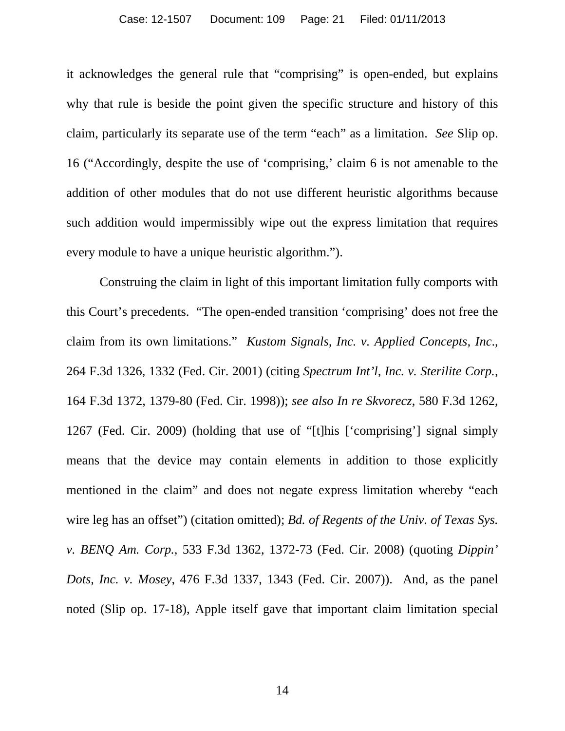#### Case: 12-1507 Document: 109 Page: 21 Filed: 01/11/2013

it acknowledges the general rule that "comprising" is open-ended, but explains why that rule is beside the point given the specific structure and history of this claim, particularly its separate use of the term "each" as a limitation. *See* Slip op. 16 ("Accordingly, despite the use of 'comprising,' claim 6 is not amenable to the addition of other modules that do not use different heuristic algorithms because such addition would impermissibly wipe out the express limitation that requires every module to have a unique heuristic algorithm.").

Construing the claim in light of this important limitation fully comports with this Court's precedents. "The open-ended transition 'comprising' does not free the claim from its own limitations." *Kustom Signals, Inc. v. Applied Concepts, Inc*., 264 F.3d 1326, 1332 (Fed. Cir. 2001) (citing *Spectrum Int'l, Inc. v. Sterilite Corp.,* 164 F.3d 1372, 1379-80 (Fed. Cir. 1998)); *see also In re Skvorecz*, 580 F.3d 1262, 1267 (Fed. Cir. 2009) (holding that use of "[t]his ['comprising'] signal simply means that the device may contain elements in addition to those explicitly mentioned in the claim" and does not negate express limitation whereby "each wire leg has an offset") (citation omitted); *Bd. of Regents of the Univ. of Texas Sys. v. BENQ Am. Corp.*, 533 F.3d 1362, 1372-73 (Fed. Cir. 2008) (quoting *Dippin' Dots, Inc. v. Mosey*, 476 F.3d 1337, 1343 (Fed. Cir. 2007)). And, as the panel noted (Slip op. 17-18), Apple itself gave that important claim limitation special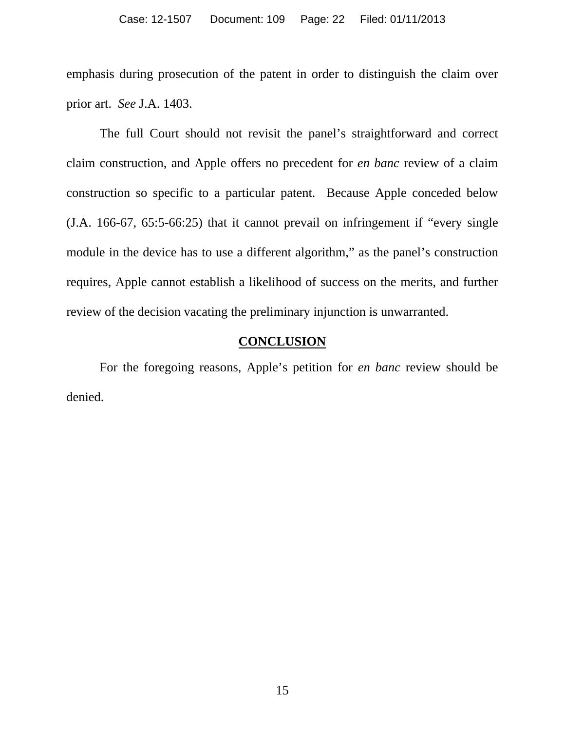emphasis during prosecution of the patent in order to distinguish the claim over prior art. *See* J.A. 1403.

The full Court should not revisit the panel's straightforward and correct claim construction, and Apple offers no precedent for *en banc* review of a claim construction so specific to a particular patent. Because Apple conceded below (J.A. 166-67, 65:5-66:25) that it cannot prevail on infringement if "every single module in the device has to use a different algorithm," as the panel's construction requires, Apple cannot establish a likelihood of success on the merits, and further review of the decision vacating the preliminary injunction is unwarranted.

## **CONCLUSION**

For the foregoing reasons, Apple's petition for *en banc* review should be denied.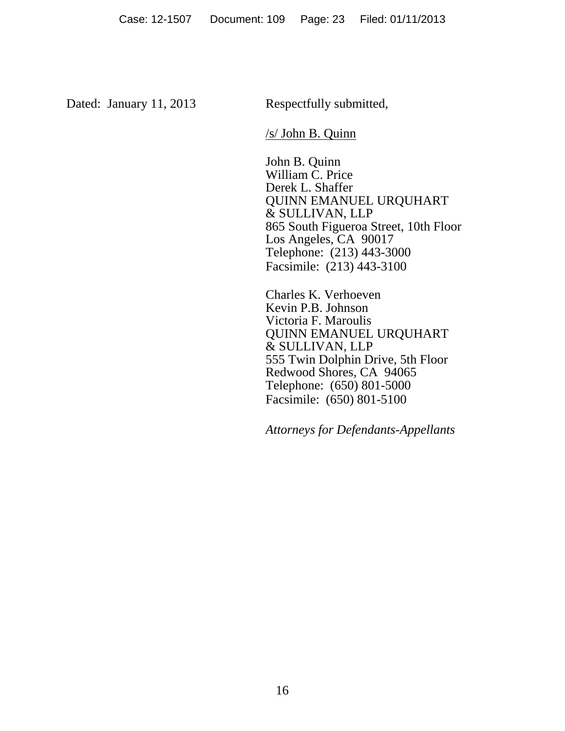Dated: January 11, 2013 Respectfully submitted,

/s/ John B. Quinn

 John B. Quinn William C. Price Derek L. Shaffer QUINN EMANUEL URQUHART & SULLIVAN, LLP 865 South Figueroa Street, 10th Floor Los Angeles, CA 90017 Telephone: (213) 443-3000 Facsimile: (213) 443-3100

Charles K. Verhoeven Kevin P.B. Johnson Victoria F. Maroulis QUINN EMANUEL URQUHART & SULLIVAN, LLP 555 Twin Dolphin Drive, 5th Floor Redwood Shores, CA 94065 Telephone: (650) 801-5000 Facsimile: (650) 801-5100

*Attorneys for Defendants-Appellants*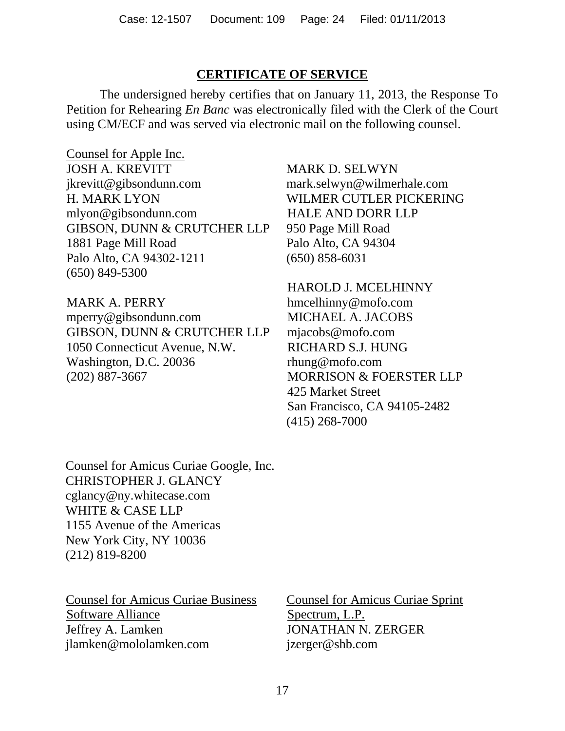# **CERTIFICATE OF SERVICE**

The undersigned hereby certifies that on January 11, 2013, the Response To Petition for Rehearing *En Banc* was electronically filed with the Clerk of the Court using CM/ECF and was served via electronic mail on the following counsel.

Counsel for Apple Inc. JOSH A. KREVITT jkrevitt@gibsondunn.com H. MARK LYON mlyon@gibsondunn.com GIBSON, DUNN & CRUTCHER LLP 1881 Page Mill Road Palo Alto, CA 94302-1211 (650) 849-5300

MARK A. PERRY mperry@gibsondunn.com GIBSON, DUNN & CRUTCHER LLP 1050 Connecticut Avenue, N.W. Washington, D.C. 20036 (202) 887-3667

MARK D. SELWYN mark.selwyn@wilmerhale.com WILMER CUTLER PICKERING HALE AND DORR LLP 950 Page Mill Road Palo Alto, CA 94304 (650) 858-6031

HAROLD J. MCELHINNY hmcelhinny@mofo.com MICHAEL A. JACOBS mjacobs@mofo.com RICHARD S.J. HUNG rhung@mofo.com MORRISON & FOERSTER LLP 425 Market Street San Francisco, CA 94105-2482 (415) 268-7000

Counsel for Amicus Curiae Google, Inc. CHRISTOPHER J. GLANCY cglancy@ny.whitecase.com WHITE & CASE LLP 1155 Avenue of the Americas New York City, NY 10036 (212) 819-8200

Counsel for Amicus Curiae Business Software Alliance Jeffrey A. Lamken jlamken@mololamken.com

Counsel for Amicus Curiae Sprint Spectrum, L.P. JONATHAN N. ZERGER jzerger@shb.com